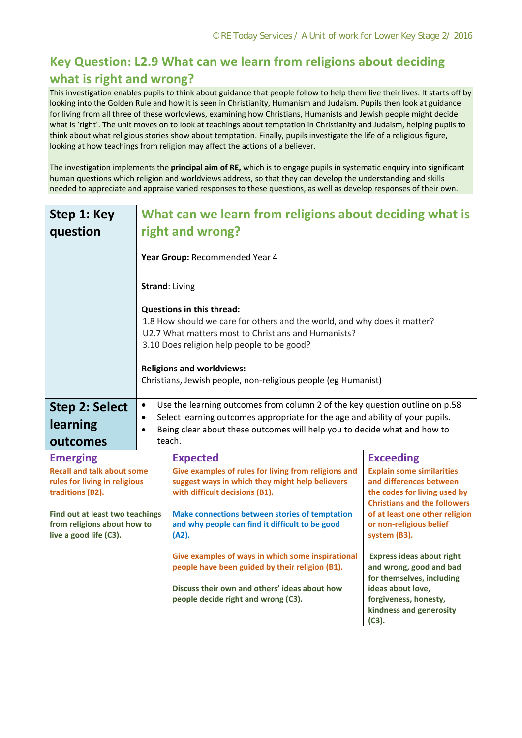## **Key Question: L2.9 What can we learn from religions about deciding what is right and wrong?**

This investigation enables pupils to think about guidance that people follow to help them live their lives. It starts off by looking into the Golden Rule and how it is seen in Christianity, Humanism and Judaism. Pupils then look at guidance for living from all three of these worldviews, examining how Christians, Humanists and Jewish people might decide what is 'right'. The unit moves on to look at teachings about temptation in Christianity and Judaism, helping pupils to think about what religious stories show about temptation. Finally, pupils investigate the life of a religious figure, looking at how teachings from religion may affect the actions of a believer.

The investigation implements the **principal aim of RE,** which is to engage pupils in systematic enquiry into significant human questions which religion and worldviews address, so that they can develop the understanding and skills needed to appreciate and appraise varied responses to these questions, as well as develop responses of their own.

| Step 1: Key                                                        | What can we learn from religions about deciding what is |                                                                                                                                                          |                                                                       |  |  |
|--------------------------------------------------------------------|---------------------------------------------------------|----------------------------------------------------------------------------------------------------------------------------------------------------------|-----------------------------------------------------------------------|--|--|
| question                                                           | right and wrong?                                        |                                                                                                                                                          |                                                                       |  |  |
|                                                                    |                                                         | Year Group: Recommended Year 4                                                                                                                           |                                                                       |  |  |
|                                                                    |                                                         | <b>Strand: Living</b>                                                                                                                                    |                                                                       |  |  |
|                                                                    |                                                         | <b>Questions in this thread:</b>                                                                                                                         |                                                                       |  |  |
|                                                                    |                                                         | 1.8 How should we care for others and the world, and why does it matter?                                                                                 |                                                                       |  |  |
|                                                                    |                                                         | U2.7 What matters most to Christians and Humanists?<br>3.10 Does religion help people to be good?                                                        |                                                                       |  |  |
|                                                                    |                                                         |                                                                                                                                                          |                                                                       |  |  |
|                                                                    |                                                         | <b>Religions and worldviews:</b><br>Christians, Jewish people, non-religious people (eg Humanist)                                                        |                                                                       |  |  |
|                                                                    |                                                         |                                                                                                                                                          |                                                                       |  |  |
| <b>Step 2: Select</b>                                              | $\bullet$                                               | Use the learning outcomes from column 2 of the key question outline on p.58                                                                              |                                                                       |  |  |
| learning                                                           | $\bullet$<br>$\bullet$                                  | Select learning outcomes appropriate for the age and ability of your pupils.<br>Being clear about these outcomes will help you to decide what and how to |                                                                       |  |  |
| outcomes                                                           |                                                         | teach.                                                                                                                                                   |                                                                       |  |  |
| <b>Emerging</b>                                                    |                                                         | <b>Expected</b>                                                                                                                                          | <b>Exceeding</b>                                                      |  |  |
| <b>Recall and talk about some</b><br>rules for living in religious |                                                         | Give examples of rules for living from religions and<br>suggest ways in which they might help believers                                                  | <b>Explain some similarities</b><br>and differences between           |  |  |
| traditions (B2).                                                   |                                                         | with difficult decisions (B1).                                                                                                                           | the codes for living used by                                          |  |  |
| Find out at least two teachings                                    |                                                         | Make connections between stories of temptation                                                                                                           | <b>Christians and the followers</b><br>of at least one other religion |  |  |
| from religions about how to                                        |                                                         | and why people can find it difficult to be good                                                                                                          | or non-religious belief                                               |  |  |
| live a good life (C3).                                             |                                                         | (A2).                                                                                                                                                    | system (B3).                                                          |  |  |
|                                                                    |                                                         | Give examples of ways in which some inspirational                                                                                                        | <b>Express ideas about right</b>                                      |  |  |
|                                                                    |                                                         | people have been guided by their religion (B1).                                                                                                          | and wrong, good and bad<br>for themselves, including                  |  |  |
|                                                                    |                                                         | Discuss their own and others' ideas about how                                                                                                            | ideas about love,                                                     |  |  |
|                                                                    |                                                         | people decide right and wrong (C3).                                                                                                                      | forgiveness, honesty,                                                 |  |  |
|                                                                    |                                                         |                                                                                                                                                          | kindness and generosity<br>(C3).                                      |  |  |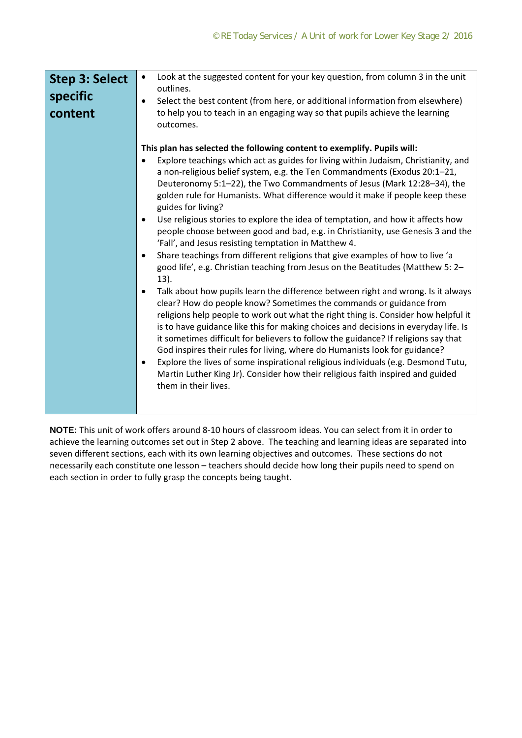| <b>Step 3: Select</b><br>specific<br>content | Look at the suggested content for your key question, from column 3 in the unit<br>$\bullet$<br>outlines.<br>Select the best content (from here, or additional information from elsewhere)<br>to help you to teach in an engaging way so that pupils achieve the learning<br>outcomes.                                                                                                                                                                                                                                                                                                                                                                                                                                                                                                                                                                                                                                                                                                                                                                                                                                                                                                                                                                                                                                                                                                                                                                                                                                                                                                   |
|----------------------------------------------|-----------------------------------------------------------------------------------------------------------------------------------------------------------------------------------------------------------------------------------------------------------------------------------------------------------------------------------------------------------------------------------------------------------------------------------------------------------------------------------------------------------------------------------------------------------------------------------------------------------------------------------------------------------------------------------------------------------------------------------------------------------------------------------------------------------------------------------------------------------------------------------------------------------------------------------------------------------------------------------------------------------------------------------------------------------------------------------------------------------------------------------------------------------------------------------------------------------------------------------------------------------------------------------------------------------------------------------------------------------------------------------------------------------------------------------------------------------------------------------------------------------------------------------------------------------------------------------------|
|                                              | This plan has selected the following content to exemplify. Pupils will:<br>Explore teachings which act as guides for living within Judaism, Christianity, and<br>a non-religious belief system, e.g. the Ten Commandments (Exodus 20:1-21,<br>Deuteronomy 5:1-22), the Two Commandments of Jesus (Mark 12:28-34), the<br>golden rule for Humanists. What difference would it make if people keep these<br>guides for living?<br>Use religious stories to explore the idea of temptation, and how it affects how<br>$\bullet$<br>people choose between good and bad, e.g. in Christianity, use Genesis 3 and the<br>'Fall', and Jesus resisting temptation in Matthew 4.<br>Share teachings from different religions that give examples of how to live 'a<br>$\bullet$<br>good life', e.g. Christian teaching from Jesus on the Beatitudes (Matthew 5: 2-<br>13).<br>Talk about how pupils learn the difference between right and wrong. Is it always<br>clear? How do people know? Sometimes the commands or guidance from<br>religions help people to work out what the right thing is. Consider how helpful it<br>is to have guidance like this for making choices and decisions in everyday life. Is<br>it sometimes difficult for believers to follow the guidance? If religions say that<br>God inspires their rules for living, where do Humanists look for guidance?<br>Explore the lives of some inspirational religious individuals (e.g. Desmond Tutu,<br>$\bullet$<br>Martin Luther King Jr). Consider how their religious faith inspired and guided<br>them in their lives. |

**NOTE:** This unit of work offers around 8‐10 hours of classroom ideas. You can select from it in order to achieve the learning outcomes set out in Step 2 above. The teaching and learning ideas are separated into seven different sections, each with its own learning objectives and outcomes. These sections do not necessarily each constitute one lesson – teachers should decide how long their pupils need to spend on each section in order to fully grasp the concepts being taught.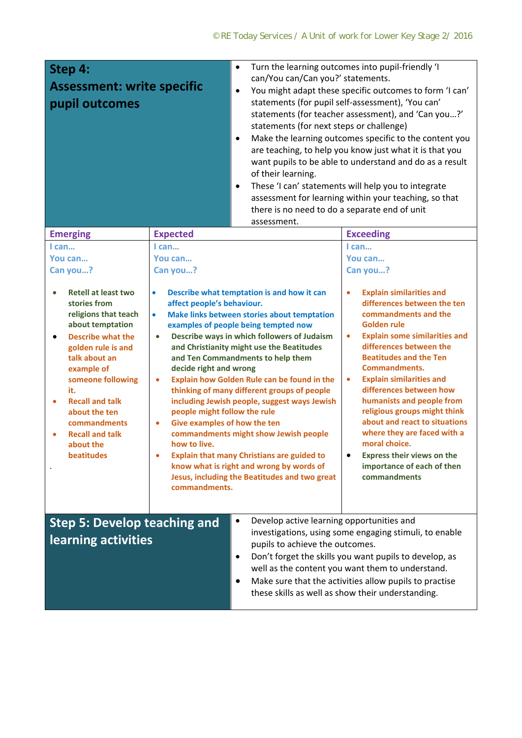| Step 4:<br><b>Assessment: write specific</b><br>pupil outcomes                                                                                                                                                                                                                                                                                                                       |                                                                                                                                                                                                                                                        | Turn the learning outcomes into pupil-friendly 'I<br>$\bullet$<br>can/You can/Can you?' statements.<br>You might adapt these specific outcomes to form 'I can'<br>$\bullet$<br>statements (for pupil self-assessment), 'You can'<br>statements (for teacher assessment), and 'Can you?'<br>statements (for next steps or challenge)<br>Make the learning outcomes specific to the content you<br>$\bullet$<br>are teaching, to help you know just what it is that you<br>want pupils to be able to understand and do as a result<br>of their learning.<br>These 'I can' statements will help you to integrate<br>$\bullet$<br>assessment for learning within your teaching, so that<br>there is no need to do a separate end of unit<br>assessment. |                                                                                                                                                                                                                                                                                                                                                                                                                                                                                                                                                                                                                        |
|--------------------------------------------------------------------------------------------------------------------------------------------------------------------------------------------------------------------------------------------------------------------------------------------------------------------------------------------------------------------------------------|--------------------------------------------------------------------------------------------------------------------------------------------------------------------------------------------------------------------------------------------------------|-----------------------------------------------------------------------------------------------------------------------------------------------------------------------------------------------------------------------------------------------------------------------------------------------------------------------------------------------------------------------------------------------------------------------------------------------------------------------------------------------------------------------------------------------------------------------------------------------------------------------------------------------------------------------------------------------------------------------------------------------------|------------------------------------------------------------------------------------------------------------------------------------------------------------------------------------------------------------------------------------------------------------------------------------------------------------------------------------------------------------------------------------------------------------------------------------------------------------------------------------------------------------------------------------------------------------------------------------------------------------------------|
| <b>Emerging</b>                                                                                                                                                                                                                                                                                                                                                                      | <b>Expected</b>                                                                                                                                                                                                                                        |                                                                                                                                                                                                                                                                                                                                                                                                                                                                                                                                                                                                                                                                                                                                                     | <b>Exceeding</b>                                                                                                                                                                                                                                                                                                                                                                                                                                                                                                                                                                                                       |
| I can<br>You can<br>Can you?<br><b>Retell at least two</b><br>$\bullet$<br>stories from<br>religions that teach<br>about temptation<br><b>Describe what the</b><br>$\bullet$<br>golden rule is and<br>talk about an<br>example of<br>someone following<br>it.<br><b>Recall and talk</b><br>about the ten<br>commandments<br><b>Recall and talk</b><br>about the<br><b>beatitudes</b> | I can<br>You can<br>Can you?<br>$\bullet$<br>affect people's behaviour.<br>$\bullet$<br>$\bullet$<br>decide right and wrong<br>$\bullet$<br>people might follow the rule<br>Give examples of how the ten<br>$\bullet$<br>how to live.<br>commandments. | Describe what temptation is and how it can<br>Make links between stories about temptation<br>examples of people being tempted now<br>Describe ways in which followers of Judaism<br>and Christianity might use the Beatitudes<br>and Ten Commandments to help them<br>Explain how Golden Rule can be found in the<br>thinking of many different groups of people<br>including Jewish people, suggest ways Jewish<br>commandments might show Jewish people<br><b>Explain that many Christians are guided to</b><br>know what is right and wrong by words of<br>Jesus, including the Beatitudes and two great                                                                                                                                         | $l$ can<br>You can<br>Can you?<br><b>Explain similarities and</b><br>$\bullet$<br>differences between the ten<br>commandments and the<br>Golden rule<br><b>Explain some similarities and</b><br>$\bullet$<br>differences between the<br><b>Beatitudes and the Ten</b><br><b>Commandments.</b><br><b>Explain similarities and</b><br>$\bullet$<br>differences between how<br>humanists and people from<br>religious groups might think<br>about and react to situations<br>where they are faced with a<br>moral choice.<br><b>Express their views on the</b><br>$\bullet$<br>importance of each of then<br>commandments |
| <b>Step 5: Develop teaching and</b><br>learning activities                                                                                                                                                                                                                                                                                                                           |                                                                                                                                                                                                                                                        | Develop active learning opportunities and<br>٠<br>pupils to achieve the outcomes.<br>٠<br>٠                                                                                                                                                                                                                                                                                                                                                                                                                                                                                                                                                                                                                                                         | investigations, using some engaging stimuli, to enable<br>Don't forget the skills you want pupils to develop, as<br>well as the content you want them to understand.<br>Make sure that the activities allow pupils to practise<br>these skills as well as show their understanding.                                                                                                                                                                                                                                                                                                                                    |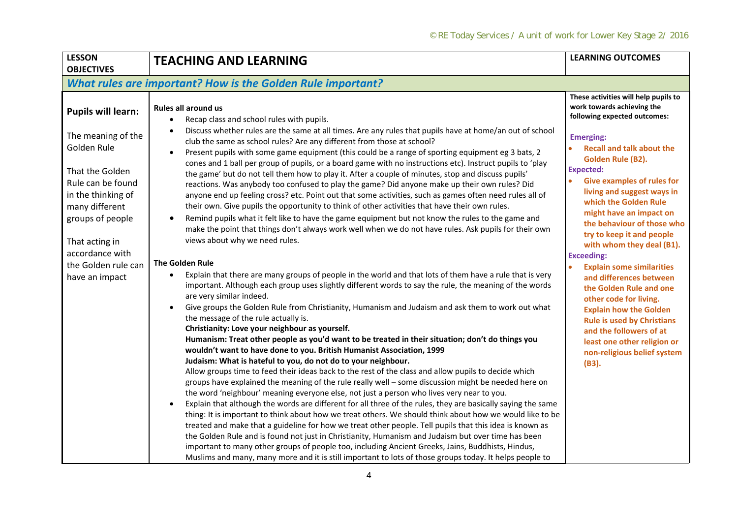| <b>LESSON</b><br><b>OBJECTIVES</b>                                                                                                                                                                                                               | <b>TEACHING AND LEARNING</b>                                                                                                                                                                                                                                                                                                                                                                                                                                                                                                                                                                                                                                                                                                                                                                                                                                                                                                                                                                                                                                                                                                                                                                                                                                                                                                                                                                                                                                                                                                                                                                                                                                                                                                                                                                                                                                                                                                                                                                                                                                                                                                                                                                                                                                                                                                                                                                                                                                                                                                                                                                                                                                                                                                                                                                 | <b>LEARNING OUTCOMES</b>                                                                                                                                                                                                                                                                                                                                                                                                                                                                                                                                                                                                                                                                                                            |  |  |
|--------------------------------------------------------------------------------------------------------------------------------------------------------------------------------------------------------------------------------------------------|----------------------------------------------------------------------------------------------------------------------------------------------------------------------------------------------------------------------------------------------------------------------------------------------------------------------------------------------------------------------------------------------------------------------------------------------------------------------------------------------------------------------------------------------------------------------------------------------------------------------------------------------------------------------------------------------------------------------------------------------------------------------------------------------------------------------------------------------------------------------------------------------------------------------------------------------------------------------------------------------------------------------------------------------------------------------------------------------------------------------------------------------------------------------------------------------------------------------------------------------------------------------------------------------------------------------------------------------------------------------------------------------------------------------------------------------------------------------------------------------------------------------------------------------------------------------------------------------------------------------------------------------------------------------------------------------------------------------------------------------------------------------------------------------------------------------------------------------------------------------------------------------------------------------------------------------------------------------------------------------------------------------------------------------------------------------------------------------------------------------------------------------------------------------------------------------------------------------------------------------------------------------------------------------------------------------------------------------------------------------------------------------------------------------------------------------------------------------------------------------------------------------------------------------------------------------------------------------------------------------------------------------------------------------------------------------------------------------------------------------------------------------------------------------|-------------------------------------------------------------------------------------------------------------------------------------------------------------------------------------------------------------------------------------------------------------------------------------------------------------------------------------------------------------------------------------------------------------------------------------------------------------------------------------------------------------------------------------------------------------------------------------------------------------------------------------------------------------------------------------------------------------------------------------|--|--|
| <b>What rules are important? How is the Golden Rule important?</b>                                                                                                                                                                               |                                                                                                                                                                                                                                                                                                                                                                                                                                                                                                                                                                                                                                                                                                                                                                                                                                                                                                                                                                                                                                                                                                                                                                                                                                                                                                                                                                                                                                                                                                                                                                                                                                                                                                                                                                                                                                                                                                                                                                                                                                                                                                                                                                                                                                                                                                                                                                                                                                                                                                                                                                                                                                                                                                                                                                                              |                                                                                                                                                                                                                                                                                                                                                                                                                                                                                                                                                                                                                                                                                                                                     |  |  |
| <b>Pupils will learn:</b><br>The meaning of the<br>Golden Rule<br>That the Golden<br>Rule can be found<br>in the thinking of<br>many different<br>groups of people<br>That acting in<br>accordance with<br>the Golden rule can<br>have an impact | Rules all around us<br>Recap class and school rules with pupils.<br>$\bullet$<br>Discuss whether rules are the same at all times. Are any rules that pupils have at home/an out of school<br>club the same as school rules? Are any different from those at school?<br>Present pupils with some game equipment (this could be a range of sporting equipment eg 3 bats, 2<br>$\bullet$<br>cones and 1 ball per group of pupils, or a board game with no instructions etc). Instruct pupils to 'play<br>the game' but do not tell them how to play it. After a couple of minutes, stop and discuss pupils'<br>reactions. Was anybody too confused to play the game? Did anyone make up their own rules? Did<br>anyone end up feeling cross? etc. Point out that some activities, such as games often need rules all of<br>their own. Give pupils the opportunity to think of other activities that have their own rules.<br>Remind pupils what it felt like to have the game equipment but not know the rules to the game and<br>٠<br>make the point that things don't always work well when we do not have rules. Ask pupils for their own<br>views about why we need rules.<br><b>The Golden Rule</b><br>Explain that there are many groups of people in the world and that lots of them have a rule that is very<br>$\bullet$<br>important. Although each group uses slightly different words to say the rule, the meaning of the words<br>are very similar indeed.<br>Give groups the Golden Rule from Christianity, Humanism and Judaism and ask them to work out what<br>$\bullet$<br>the message of the rule actually is.<br>Christianity: Love your neighbour as yourself.<br>Humanism: Treat other people as you'd want to be treated in their situation; don't do things you<br>wouldn't want to have done to you. British Humanist Association, 1999<br>Judaism: What is hateful to you, do not do to your neighbour.<br>Allow groups time to feed their ideas back to the rest of the class and allow pupils to decide which<br>groups have explained the meaning of the rule really well - some discussion might be needed here on<br>the word 'neighbour' meaning everyone else, not just a person who lives very near to you.<br>Explain that although the words are different for all three of the rules, they are basically saying the same<br>thing: It is important to think about how we treat others. We should think about how we would like to be<br>treated and make that a guideline for how we treat other people. Tell pupils that this idea is known as<br>the Golden Rule and is found not just in Christianity, Humanism and Judaism but over time has been<br>important to many other groups of people too, including Ancient Greeks, Jains, Buddhists, Hindus, | These activities will help pupils to<br>work towards achieving the<br>following expected outcomes:<br><b>Emerging:</b><br><b>Recall and talk about the</b><br>Golden Rule (B2).<br><b>Expected:</b><br><b>Give examples of rules for</b><br>living and suggest ways in<br>which the Golden Rule<br>might have an impact on<br>the behaviour of those who<br>try to keep it and people<br>with whom they deal (B1).<br><b>Exceeding:</b><br><b>Explain some similarities</b><br>and differences between<br>the Golden Rule and one<br>other code for living.<br><b>Explain how the Golden</b><br><b>Rule is used by Christians</b><br>and the followers of at<br>least one other religion or<br>non-religious belief system<br>(B3). |  |  |
|                                                                                                                                                                                                                                                  | Muslims and many, many more and it is still important to lots of those groups today. It helps people to                                                                                                                                                                                                                                                                                                                                                                                                                                                                                                                                                                                                                                                                                                                                                                                                                                                                                                                                                                                                                                                                                                                                                                                                                                                                                                                                                                                                                                                                                                                                                                                                                                                                                                                                                                                                                                                                                                                                                                                                                                                                                                                                                                                                                                                                                                                                                                                                                                                                                                                                                                                                                                                                                      |                                                                                                                                                                                                                                                                                                                                                                                                                                                                                                                                                                                                                                                                                                                                     |  |  |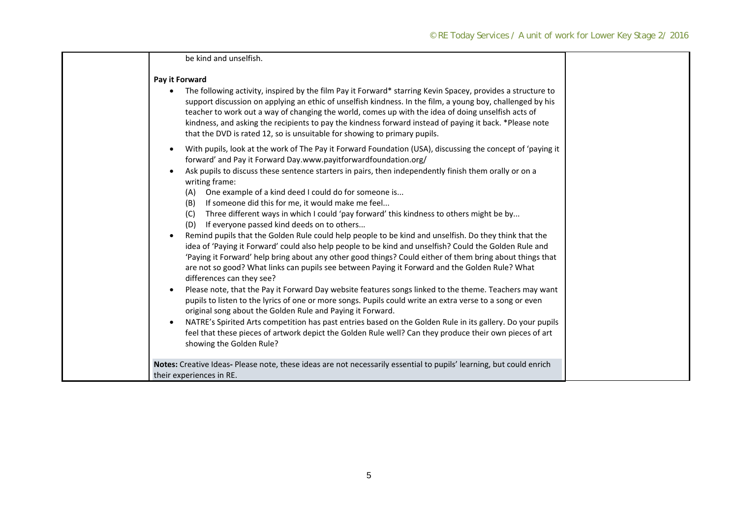| be kind and unselfish.                                                                                                                                                                                                                                                                                                                                                                                                                                                                                                  |
|-------------------------------------------------------------------------------------------------------------------------------------------------------------------------------------------------------------------------------------------------------------------------------------------------------------------------------------------------------------------------------------------------------------------------------------------------------------------------------------------------------------------------|
| Pay it Forward                                                                                                                                                                                                                                                                                                                                                                                                                                                                                                          |
| The following activity, inspired by the film Pay it Forward* starring Kevin Spacey, provides a structure to<br>support discussion on applying an ethic of unselfish kindness. In the film, a young boy, challenged by his<br>teacher to work out a way of changing the world, comes up with the idea of doing unselfish acts of<br>kindness, and asking the recipients to pay the kindness forward instead of paying it back. *Please note<br>that the DVD is rated 12, so is unsuitable for showing to primary pupils. |
| With pupils, look at the work of The Pay it Forward Foundation (USA), discussing the concept of 'paying it<br>forward' and Pay it Forward Day.www.payitforwardfoundation.org/                                                                                                                                                                                                                                                                                                                                           |
| Ask pupils to discuss these sentence starters in pairs, then independently finish them orally or on a<br>writing frame:<br>One example of a kind deed I could do for someone is<br>(A)<br>(B) If someone did this for me, it would make me feel                                                                                                                                                                                                                                                                         |
| (C) Three different ways in which I could 'pay forward' this kindness to others might be by<br>(D) If everyone passed kind deeds on to others                                                                                                                                                                                                                                                                                                                                                                           |
| Remind pupils that the Golden Rule could help people to be kind and unselfish. Do they think that the<br>idea of 'Paying it Forward' could also help people to be kind and unselfish? Could the Golden Rule and<br>'Paying it Forward' help bring about any other good things? Could either of them bring about things that<br>are not so good? What links can pupils see between Paying it Forward and the Golden Rule? What<br>differences can they see?                                                              |
| Please note, that the Pay it Forward Day website features songs linked to the theme. Teachers may want<br>pupils to listen to the lyrics of one or more songs. Pupils could write an extra verse to a song or even<br>original song about the Golden Rule and Paying it Forward.                                                                                                                                                                                                                                        |
| NATRE's Spirited Arts competition has past entries based on the Golden Rule in its gallery. Do your pupils<br>feel that these pieces of artwork depict the Golden Rule well? Can they produce their own pieces of art<br>showing the Golden Rule?                                                                                                                                                                                                                                                                       |
| Notes: Creative Ideas- Please note, these ideas are not necessarily essential to pupils' learning, but could enrich                                                                                                                                                                                                                                                                                                                                                                                                     |
| their experiences in RE.                                                                                                                                                                                                                                                                                                                                                                                                                                                                                                |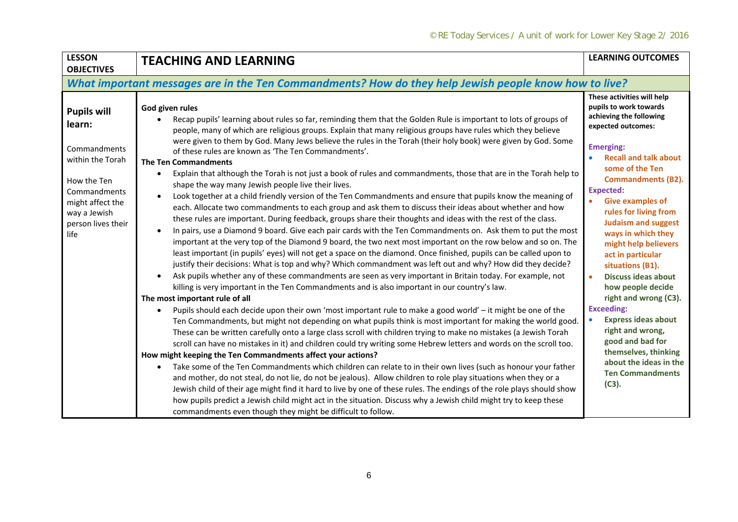| <b>LESSON</b><br><b>OBJECTIVES</b>                                                                                                                                | <b>TEACHING AND LEARNING</b>                                                                                                                                                                                                                                                                                                                                                                                                                                                                                                                                                                                                                                                                                                                                                                                                                                                                                                                                                                                                                                                                                                                                                                                                                                                                                                                                                                                                                                                                                                                                                                                                                                                                                                                                                                                                                                                                                                                                                                                                                                                                                                                                                                                                                                                                                                                                                                                                                                                                                                                                                                                                                                                                                                                                                                                                            | <b>LEARNING OUTCOMES</b>                                                                                                                                                                                                                                                                                                                                                                                                                                                                                                                                                                                                                                               |  |  |  |
|-------------------------------------------------------------------------------------------------------------------------------------------------------------------|-----------------------------------------------------------------------------------------------------------------------------------------------------------------------------------------------------------------------------------------------------------------------------------------------------------------------------------------------------------------------------------------------------------------------------------------------------------------------------------------------------------------------------------------------------------------------------------------------------------------------------------------------------------------------------------------------------------------------------------------------------------------------------------------------------------------------------------------------------------------------------------------------------------------------------------------------------------------------------------------------------------------------------------------------------------------------------------------------------------------------------------------------------------------------------------------------------------------------------------------------------------------------------------------------------------------------------------------------------------------------------------------------------------------------------------------------------------------------------------------------------------------------------------------------------------------------------------------------------------------------------------------------------------------------------------------------------------------------------------------------------------------------------------------------------------------------------------------------------------------------------------------------------------------------------------------------------------------------------------------------------------------------------------------------------------------------------------------------------------------------------------------------------------------------------------------------------------------------------------------------------------------------------------------------------------------------------------------------------------------------------------------------------------------------------------------------------------------------------------------------------------------------------------------------------------------------------------------------------------------------------------------------------------------------------------------------------------------------------------------------------------------------------------------------------------------------------------------|------------------------------------------------------------------------------------------------------------------------------------------------------------------------------------------------------------------------------------------------------------------------------------------------------------------------------------------------------------------------------------------------------------------------------------------------------------------------------------------------------------------------------------------------------------------------------------------------------------------------------------------------------------------------|--|--|--|
|                                                                                                                                                                   | What important messages are in the Ten Commandments? How do they help Jewish people know how to live?                                                                                                                                                                                                                                                                                                                                                                                                                                                                                                                                                                                                                                                                                                                                                                                                                                                                                                                                                                                                                                                                                                                                                                                                                                                                                                                                                                                                                                                                                                                                                                                                                                                                                                                                                                                                                                                                                                                                                                                                                                                                                                                                                                                                                                                                                                                                                                                                                                                                                                                                                                                                                                                                                                                                   |                                                                                                                                                                                                                                                                                                                                                                                                                                                                                                                                                                                                                                                                        |  |  |  |
| <b>Pupils will</b><br>learn:<br>Commandments<br>within the Torah<br>How the Ten<br>Commandments<br>might affect the<br>way a Jewish<br>person lives their<br>life | God given rules<br>Recap pupils' learning about rules so far, reminding them that the Golden Rule is important to lots of groups of<br>people, many of which are religious groups. Explain that many religious groups have rules which they believe<br>were given to them by God. Many Jews believe the rules in the Torah (their holy book) were given by God. Some<br>of these rules are known as 'The Ten Commandments'.<br><b>The Ten Commandments</b><br>Explain that although the Torah is not just a book of rules and commandments, those that are in the Torah help to<br>shape the way many Jewish people live their lives.<br>Look together at a child friendly version of the Ten Commandments and ensure that pupils know the meaning of<br>$\bullet$<br>each. Allocate two commandments to each group and ask them to discuss their ideas about whether and how<br>these rules are important. During feedback, groups share their thoughts and ideas with the rest of the class.<br>In pairs, use a Diamond 9 board. Give each pair cards with the Ten Commandments on. Ask them to put the most<br>important at the very top of the Diamond 9 board, the two next most important on the row below and so on. The<br>least important (in pupils' eyes) will not get a space on the diamond. Once finished, pupils can be called upon to<br>justify their decisions: What is top and why? Which commandment was left out and why? How did they decide?<br>Ask pupils whether any of these commandments are seen as very important in Britain today. For example, not<br>killing is very important in the Ten Commandments and is also important in our country's law.<br>The most important rule of all<br>Pupils should each decide upon their own 'most important rule to make a good world' - it might be one of the<br>$\bullet$<br>Ten Commandments, but might not depending on what pupils think is most important for making the world good.<br>These can be written carefully onto a large class scroll with children trying to make no mistakes (a Jewish Torah<br>scroll can have no mistakes in it) and children could try writing some Hebrew letters and words on the scroll too.<br>How might keeping the Ten Commandments affect your actions?<br>Take some of the Ten Commandments which children can relate to in their own lives (such as honour your father<br>$\bullet$<br>and mother, do not steal, do not lie, do not be jealous). Allow children to role play situations when they or a<br>Jewish child of their age might find it hard to live by one of these rules. The endings of the role plays should show<br>how pupils predict a Jewish child might act in the situation. Discuss why a Jewish child might try to keep these<br>commandments even though they might be difficult to follow. | These activities will help<br>pupils to work towards<br>achieving the following<br>expected outcomes:<br><b>Emerging:</b><br><b>Recall and talk about</b><br>some of the Ten<br><b>Commandments (B2).</b><br><b>Expected:</b><br><b>Give examples of</b><br>rules for living from<br><b>Judaism and suggest</b><br>ways in which they<br>might help believers<br>act in particular<br>situations (B1).<br><b>Discuss ideas about</b><br>how people decide<br>right and wrong (C3).<br><b>Exceeding:</b><br><b>Express ideas about</b><br>right and wrong,<br>good and bad for<br>themselves, thinking<br>about the ideas in the<br><b>Ten Commandments</b><br>$(C3)$ . |  |  |  |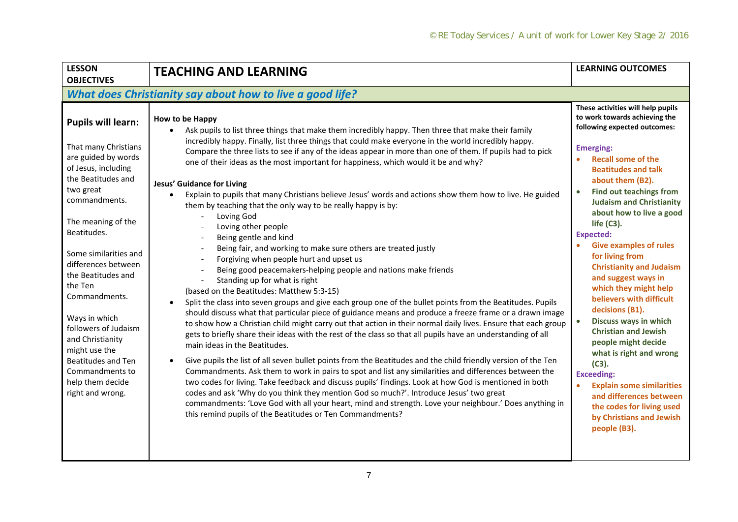| <b>LESSON</b><br><b>OBJECTIVES</b>                                                                                                                                                                                                                                                                                                                                                                                                                               | <b>TEACHING AND LEARNING</b>                                                                                                                                                                                                                                                                                                                                                                                                                                                                                                                                                                                                                                                                                                                                                                                                                                                                                                                                                                                                                                                                                                                                                                                                                                                                                                                                                                                                                                                                                                                                                                                                                                                                                                                                                                                                                                                                                                                                                                                                                                                              | <b>LEARNING OUTCOMES</b>                                                                                                                                                                                                                                                                                                                                                                                                                                                                                                                                                                                                                                                                                                                                                                                                       |  |  |
|------------------------------------------------------------------------------------------------------------------------------------------------------------------------------------------------------------------------------------------------------------------------------------------------------------------------------------------------------------------------------------------------------------------------------------------------------------------|-------------------------------------------------------------------------------------------------------------------------------------------------------------------------------------------------------------------------------------------------------------------------------------------------------------------------------------------------------------------------------------------------------------------------------------------------------------------------------------------------------------------------------------------------------------------------------------------------------------------------------------------------------------------------------------------------------------------------------------------------------------------------------------------------------------------------------------------------------------------------------------------------------------------------------------------------------------------------------------------------------------------------------------------------------------------------------------------------------------------------------------------------------------------------------------------------------------------------------------------------------------------------------------------------------------------------------------------------------------------------------------------------------------------------------------------------------------------------------------------------------------------------------------------------------------------------------------------------------------------------------------------------------------------------------------------------------------------------------------------------------------------------------------------------------------------------------------------------------------------------------------------------------------------------------------------------------------------------------------------------------------------------------------------------------------------------------------------|--------------------------------------------------------------------------------------------------------------------------------------------------------------------------------------------------------------------------------------------------------------------------------------------------------------------------------------------------------------------------------------------------------------------------------------------------------------------------------------------------------------------------------------------------------------------------------------------------------------------------------------------------------------------------------------------------------------------------------------------------------------------------------------------------------------------------------|--|--|
| What does Christianity say about how to live a good life?                                                                                                                                                                                                                                                                                                                                                                                                        |                                                                                                                                                                                                                                                                                                                                                                                                                                                                                                                                                                                                                                                                                                                                                                                                                                                                                                                                                                                                                                                                                                                                                                                                                                                                                                                                                                                                                                                                                                                                                                                                                                                                                                                                                                                                                                                                                                                                                                                                                                                                                           |                                                                                                                                                                                                                                                                                                                                                                                                                                                                                                                                                                                                                                                                                                                                                                                                                                |  |  |
| <b>Pupils will learn:</b><br>That many Christians<br>are guided by words<br>of Jesus, including<br>the Beatitudes and<br>two great<br>commandments.<br>The meaning of the<br>Beatitudes.<br>Some similarities and<br>differences between<br>the Beatitudes and<br>the Ten<br>Commandments.<br>Ways in which<br>followers of Judaism<br>and Christianity<br>might use the<br><b>Beatitudes and Ten</b><br>Commandments to<br>help them decide<br>right and wrong. | How to be Happy<br>Ask pupils to list three things that make them incredibly happy. Then three that make their family<br>incredibly happy. Finally, list three things that could make everyone in the world incredibly happy.<br>Compare the three lists to see if any of the ideas appear in more than one of them. If pupils had to pick<br>one of their ideas as the most important for happiness, which would it be and why?<br><b>Jesus' Guidance for Living</b><br>Explain to pupils that many Christians believe Jesus' words and actions show them how to live. He guided<br>them by teaching that the only way to be really happy is by:<br>Loving God<br>Loving other people<br>Being gentle and kind<br>Being fair, and working to make sure others are treated justly<br>Forgiving when people hurt and upset us<br>Being good peacemakers-helping people and nations make friends<br>Standing up for what is right<br>(based on the Beatitudes: Matthew 5:3-15)<br>Split the class into seven groups and give each group one of the bullet points from the Beatitudes. Pupils<br>$\bullet$<br>should discuss what that particular piece of guidance means and produce a freeze frame or a drawn image<br>to show how a Christian child might carry out that action in their normal daily lives. Ensure that each group<br>gets to briefly share their ideas with the rest of the class so that all pupils have an understanding of all<br>main ideas in the Beatitudes.<br>Give pupils the list of all seven bullet points from the Beatitudes and the child friendly version of the Ten<br>Commandments. Ask them to work in pairs to spot and list any similarities and differences between the<br>two codes for living. Take feedback and discuss pupils' findings. Look at how God is mentioned in both<br>codes and ask 'Why do you think they mention God so much?'. Introduce Jesus' two great<br>commandments: 'Love God with all your heart, mind and strength. Love your neighbour.' Does anything in<br>this remind pupils of the Beatitudes or Ten Commandments? | These activities will help pupils<br>to work towards achieving the<br>following expected outcomes:<br><b>Emerging:</b><br><b>Recall some of the</b><br><b>Beatitudes and talk</b><br>about them (B2).<br><b>Find out teachings from</b><br><b>Judaism and Christianity</b><br>about how to live a good<br>life $(C3)$ .<br><b>Expected:</b><br><b>Give examples of rules</b><br>for living from<br><b>Christianity and Judaism</b><br>and suggest ways in<br>which they might help<br>believers with difficult<br>decisions (B1).<br>Discuss ways in which<br>$\bullet$<br><b>Christian and Jewish</b><br>people might decide<br>what is right and wrong<br>(C3).<br><b>Exceeding:</b><br><b>Explain some similarities</b><br>and differences between<br>the codes for living used<br>by Christians and Jewish<br>people (B3). |  |  |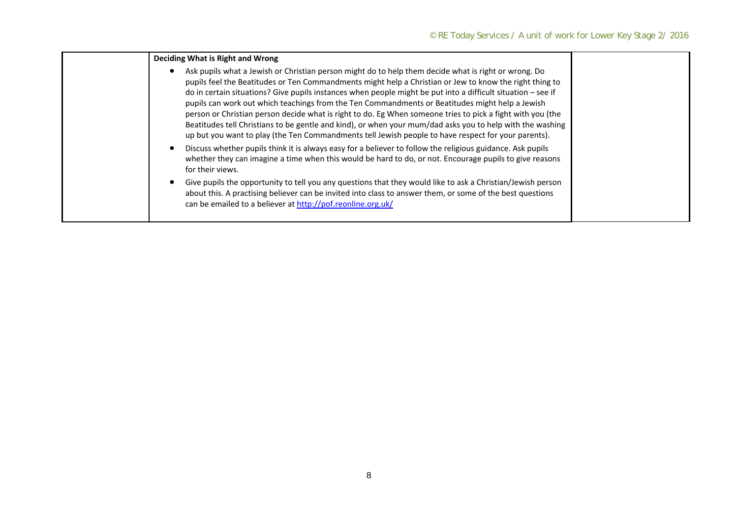| Deciding What is Right and Wrong                                                                                                                                                                                                                                                                                                                                                                                                                                                                                                                                                                                                                                                                                                                                     |  |
|----------------------------------------------------------------------------------------------------------------------------------------------------------------------------------------------------------------------------------------------------------------------------------------------------------------------------------------------------------------------------------------------------------------------------------------------------------------------------------------------------------------------------------------------------------------------------------------------------------------------------------------------------------------------------------------------------------------------------------------------------------------------|--|
| Ask pupils what a Jewish or Christian person might do to help them decide what is right or wrong. Do<br>pupils feel the Beatitudes or Ten Commandments might help a Christian or Jew to know the right thing to<br>do in certain situations? Give pupils instances when people might be put into a difficult situation – see if<br>pupils can work out which teachings from the Ten Commandments or Beatitudes might help a Jewish<br>person or Christian person decide what is right to do. Eg When someone tries to pick a fight with you (the<br>Beatitudes tell Christians to be gentle and kind), or when your mum/dad asks you to help with the washing<br>up but you want to play (the Ten Commandments tell Jewish people to have respect for your parents). |  |
| Discuss whether pupils think it is always easy for a believer to follow the religious guidance. Ask pupils<br>whether they can imagine a time when this would be hard to do, or not. Encourage pupils to give reasons<br>for their views.                                                                                                                                                                                                                                                                                                                                                                                                                                                                                                                            |  |
| Give pupils the opportunity to tell you any questions that they would like to ask a Christian/Jewish person<br>about this. A practising believer can be invited into class to answer them, or some of the best questions<br>can be emailed to a believer at http://pof.reonline.org.uk/                                                                                                                                                                                                                                                                                                                                                                                                                                                                              |  |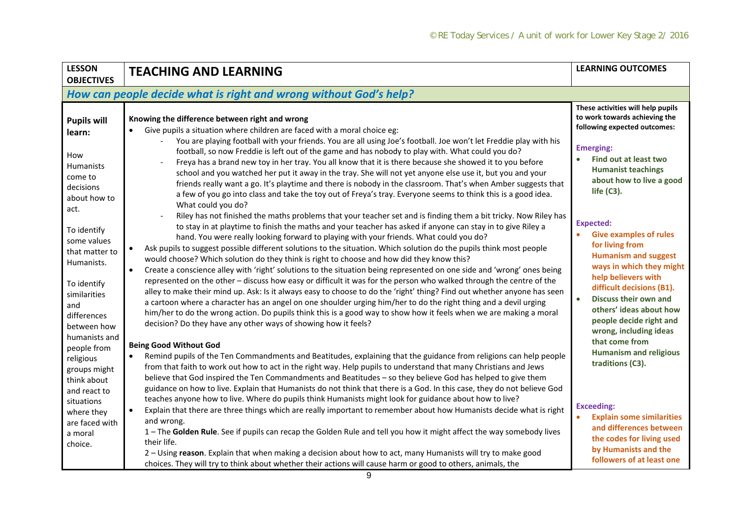| <b>LESSON</b><br><b>OBJECTIVES</b>                                                                                                                           | <b>TEACHING AND LEARNING</b>                                                                                                                                                                                                                                                                                                                                                                                                                                                                                                                                                                                                                                                                                                                                                                                                                                                                                                                                                                                                                                                                                                                                                                                                                                            | <b>LEARNING OUTCOMES</b>                                                                                                                                                                                                                                                                                         |
|--------------------------------------------------------------------------------------------------------------------------------------------------------------|-------------------------------------------------------------------------------------------------------------------------------------------------------------------------------------------------------------------------------------------------------------------------------------------------------------------------------------------------------------------------------------------------------------------------------------------------------------------------------------------------------------------------------------------------------------------------------------------------------------------------------------------------------------------------------------------------------------------------------------------------------------------------------------------------------------------------------------------------------------------------------------------------------------------------------------------------------------------------------------------------------------------------------------------------------------------------------------------------------------------------------------------------------------------------------------------------------------------------------------------------------------------------|------------------------------------------------------------------------------------------------------------------------------------------------------------------------------------------------------------------------------------------------------------------------------------------------------------------|
|                                                                                                                                                              | How can people decide what is right and wrong without God's help?                                                                                                                                                                                                                                                                                                                                                                                                                                                                                                                                                                                                                                                                                                                                                                                                                                                                                                                                                                                                                                                                                                                                                                                                       |                                                                                                                                                                                                                                                                                                                  |
| <b>Pupils will</b><br>learn:<br>How<br><b>Humanists</b><br>come to<br>decisions<br>about how to                                                              | Knowing the difference between right and wrong<br>Give pupils a situation where children are faced with a moral choice eg:<br>You are playing football with your friends. You are all using Joe's football. Joe won't let Freddie play with his<br>football, so now Freddie is left out of the game and has nobody to play with. What could you do?<br>Freya has a brand new toy in her tray. You all know that it is there because she showed it to you before<br>school and you watched her put it away in the tray. She will not yet anyone else use it, but you and your<br>friends really want a go. It's playtime and there is nobody in the classroom. That's when Amber suggests that<br>a few of you go into class and take the toy out of Freya's tray. Everyone seems to think this is a good idea.                                                                                                                                                                                                                                                                                                                                                                                                                                                          | These activities will help pupils<br>to work towards achieving the<br>following expected outcomes:<br><b>Emerging:</b><br><b>Find out at least two</b><br><b>Humanist teachings</b><br>about how to live a good<br>life $(C3)$ .                                                                                 |
| act.<br>To identify<br>some values<br>that matter to<br>Humanists.<br>To identify<br>similarities<br>and<br>differences<br>between how                       | What could you do?<br>Riley has not finished the maths problems that your teacher set and is finding them a bit tricky. Now Riley has<br>to stay in at playtime to finish the maths and your teacher has asked if anyone can stay in to give Riley a<br>hand. You were really looking forward to playing with your friends. What could you do?<br>Ask pupils to suggest possible different solutions to the situation. Which solution do the pupils think most people<br>would choose? Which solution do they think is right to choose and how did they know this?<br>Create a conscience alley with 'right' solutions to the situation being represented on one side and 'wrong' ones being<br>$\bullet$<br>represented on the other - discuss how easy or difficult it was for the person who walked through the centre of the<br>alley to make their mind up. Ask: Is it always easy to choose to do the 'right' thing? Find out whether anyone has seen<br>a cartoon where a character has an angel on one shoulder urging him/her to do the right thing and a devil urging<br>him/her to do the wrong action. Do pupils think this is a good way to show how it feels when we are making a moral<br>decision? Do they have any other ways of showing how it feels? | <b>Expected:</b><br><b>Give examples of rules</b><br>for living from<br><b>Humanism and suggest</b><br>ways in which they might<br>help believers with<br>difficult decisions (B1).<br><b>Discuss their own and</b><br>$\bullet$<br>others' ideas about how<br>people decide right and<br>wrong, including ideas |
| humanists and<br>people from<br>religious<br>groups might<br>think about<br>and react to<br>situations<br>where they<br>are faced with<br>a moral<br>choice. | <b>Being Good Without God</b><br>Remind pupils of the Ten Commandments and Beatitudes, explaining that the guidance from religions can help people<br>$\bullet$<br>from that faith to work out how to act in the right way. Help pupils to understand that many Christians and Jews<br>believe that God inspired the Ten Commandments and Beatitudes - so they believe God has helped to give them<br>guidance on how to live. Explain that Humanists do not think that there is a God. In this case, they do not believe God<br>teaches anyone how to live. Where do pupils think Humanists might look for guidance about how to live?<br>Explain that there are three things which are really important to remember about how Humanists decide what is right<br>and wrong.<br>1 - The Golden Rule. See if pupils can recap the Golden Rule and tell you how it might affect the way somebody lives<br>their life.<br>2 - Using reason. Explain that when making a decision about how to act, many Humanists will try to make good<br>choices. They will try to think about whether their actions will cause harm or good to others, animals, the                                                                                                                      | that come from<br><b>Humanism and religious</b><br>traditions (C3).<br><b>Exceeding:</b><br><b>Explain some similarities</b><br>and differences between<br>the codes for living used<br>by Humanists and the<br>followers of at least one                                                                        |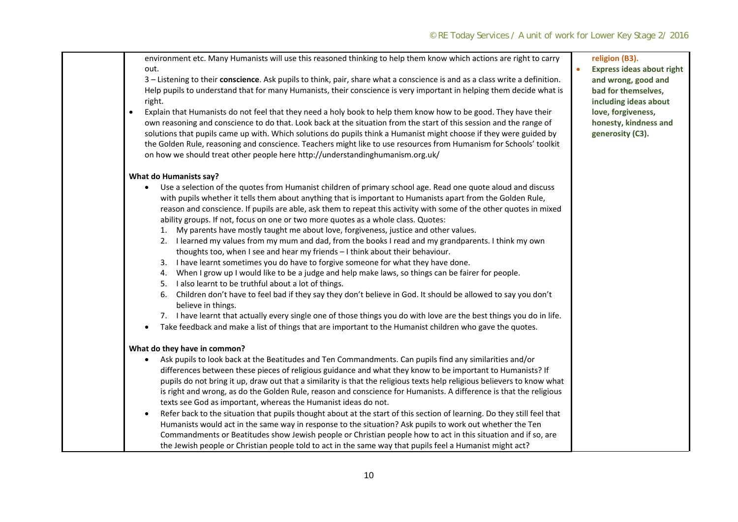0

environment etc. Many Humanists will use this reasoned thinking to help them know which actions are right to carry out.

3 – Listening to their **conscience**. Ask pupils to think, pair, share what <sup>a</sup> conscience is and as <sup>a</sup> class write <sup>a</sup> definition. Help pupils to understand that for many Humanists, their conscience is very important in helping them decide what is right.

. Explain that Humanists do not feel that they need <sup>a</sup> holy book to help them know how to be good. They have their own reasoning and conscience to do that. Look back at the situation from the start of this session and the range of solutions that pupils came up with. Which solutions do pupils think <sup>a</sup> Humanist might choose if they were guided by the Golden Rule, reasoning and conscience. Teachers might like to use resources from Humanism for Schools' toolkit on how we should treat other people here http://understandinghumanism.org.uk/

## **What do Humanists say?**

- Use <sup>a</sup> selection of the quotes from Humanist children of primary school age. Read one quote aloud and discuss with pupils whether it tells them about anything that is important to Humanists apart from the Golden Rule, reason and conscience. If pupils are able, ask them to repeat this activity with some of the other quotes in mixed ability groups. If not, focus on one or two more quotes as <sup>a</sup> whole class. Quotes:
	- 1. My parents have mostly taught me about love, forgiveness, justice and other values.
	- 2. I learned my values from my mum and dad, from the books I read and my grandparents. I think my own thoughts too, when I see and hear my friends – I think about their behaviour.
	- 3. I have learnt sometimes you do have to forgive someone for what they have done.
	- 4. When I grow up I would like to be <sup>a</sup> judge and help make laws, so things can be fairer for people.
	- 5. I also learnt to be truthful about <sup>a</sup> lot of things.
	- 6. Children don't have to feel bad if they say they don't believe in God. It should be allowed to say you don't believe in things.
	- 7. I have learnt that actually every single one of those things you do with love are the best things you do in life.
- $\bullet$ Take feedback and make <sup>a</sup> list of things that are important to the Humanist children who gave the quotes.

## **What do they have in common?**

- Ask pupils to look back at the Beatitudes and Ten Commandments. Can pupils find any similarities and/or differences between these pieces of religious guidance and what they know to be important to Humanists? If pupils do not bring it up, draw out that <sup>a</sup> similarity is that the religious texts help religious believers to know what is right and wrong, as do the Golden Rule, reason and conscience for Humanists. A difference is that the religious texts see God as important, whereas the Humanist ideas do not.
- $\bullet$  Refer back to the situation that pupils thought about at the start of this section of learning. Do they still feel that Humanists would act in the same way in response to the situation? Ask pupils to work out whether the Ten Commandments or Beatitudes show Jewish people or Christian people how to act in this situation and if so, are the Jewish people or Christian people told to act in the same way that pupils feel <sup>a</sup> Humanist might act?

## **religion (B3).**

 **Express ideas about right and wrong, good and bad for themselves, including ideas about love, forgiveness, honesty, kindness and generosity (C3).**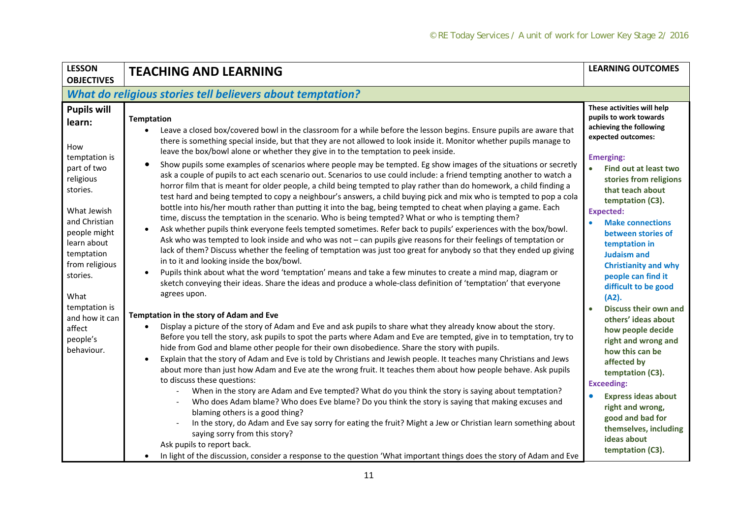| <b>LESSON</b>                                                                                                                                                                                           | <b>TEACHING AND LEARNING</b>                                                                                                                                                                                                                                                                                                                                                                                                                                                                                                                                                                                                                                                                                                                                                                                                                                                                                                                                                                                                                                                                                                                                                                                                                                                                                                                                                                                                                                                                                                                                                                                                                                                                                                                          | <b>LEARNING OUTCOMES</b>                                                                                                                                                                                                                                                                                                                                                                                                   |  |  |
|---------------------------------------------------------------------------------------------------------------------------------------------------------------------------------------------------------|-------------------------------------------------------------------------------------------------------------------------------------------------------------------------------------------------------------------------------------------------------------------------------------------------------------------------------------------------------------------------------------------------------------------------------------------------------------------------------------------------------------------------------------------------------------------------------------------------------------------------------------------------------------------------------------------------------------------------------------------------------------------------------------------------------------------------------------------------------------------------------------------------------------------------------------------------------------------------------------------------------------------------------------------------------------------------------------------------------------------------------------------------------------------------------------------------------------------------------------------------------------------------------------------------------------------------------------------------------------------------------------------------------------------------------------------------------------------------------------------------------------------------------------------------------------------------------------------------------------------------------------------------------------------------------------------------------------------------------------------------------|----------------------------------------------------------------------------------------------------------------------------------------------------------------------------------------------------------------------------------------------------------------------------------------------------------------------------------------------------------------------------------------------------------------------------|--|--|
| <b>OBJECTIVES</b>                                                                                                                                                                                       |                                                                                                                                                                                                                                                                                                                                                                                                                                                                                                                                                                                                                                                                                                                                                                                                                                                                                                                                                                                                                                                                                                                                                                                                                                                                                                                                                                                                                                                                                                                                                                                                                                                                                                                                                       |                                                                                                                                                                                                                                                                                                                                                                                                                            |  |  |
| What do religious stories tell believers about temptation?                                                                                                                                              |                                                                                                                                                                                                                                                                                                                                                                                                                                                                                                                                                                                                                                                                                                                                                                                                                                                                                                                                                                                                                                                                                                                                                                                                                                                                                                                                                                                                                                                                                                                                                                                                                                                                                                                                                       |                                                                                                                                                                                                                                                                                                                                                                                                                            |  |  |
| <b>Pupils will</b><br>learn:<br>How<br>temptation is<br>part of two<br>religious<br>stories.<br>What Jewish<br>and Christian<br>people might<br>learn about<br>temptation<br>from religious<br>stories. | <b>Temptation</b><br>Leave a closed box/covered bowl in the classroom for a while before the lesson begins. Ensure pupils are aware that<br>there is something special inside, but that they are not allowed to look inside it. Monitor whether pupils manage to<br>leave the box/bowl alone or whether they give in to the temptation to peek inside.<br>Show pupils some examples of scenarios where people may be tempted. Eg show images of the situations or secretly<br>$\bullet$<br>ask a couple of pupils to act each scenario out. Scenarios to use could include: a friend tempting another to watch a<br>horror film that is meant for older people, a child being tempted to play rather than do homework, a child finding a<br>test hard and being tempted to copy a neighbour's answers, a child buying pick and mix who is tempted to pop a cola<br>bottle into his/her mouth rather than putting it into the bag, being tempted to cheat when playing a game. Each<br>time, discuss the temptation in the scenario. Who is being tempted? What or who is tempting them?<br>Ask whether pupils think everyone feels tempted sometimes. Refer back to pupils' experiences with the box/bowl.<br>Ask who was tempted to look inside and who was not - can pupils give reasons for their feelings of temptation or<br>lack of them? Discuss whether the feeling of temptation was just too great for anybody so that they ended up giving<br>in to it and looking inside the box/bowl.<br>Pupils think about what the word 'temptation' means and take a few minutes to create a mind map, diagram or<br>sketch conveying their ideas. Share the ideas and produce a whole-class definition of 'temptation' that everyone<br>agrees upon. | These activities will help<br>pupils to work towards<br>achieving the following<br>expected outcomes:<br><b>Emerging:</b><br>$\bullet$<br>Find out at least two<br>stories from religions<br>that teach about<br>temptation (C3).<br><b>Expected:</b><br><b>Make connections</b><br>between stories of<br>temptation in<br><b>Judaism and</b><br><b>Christianity and why</b><br>people can find it<br>difficult to be good |  |  |
| What<br>temptation is<br>and how it can<br>affect<br>people's<br>behaviour.                                                                                                                             | Temptation in the story of Adam and Eve<br>Display a picture of the story of Adam and Eve and ask pupils to share what they already know about the story.<br>Before you tell the story, ask pupils to spot the parts where Adam and Eve are tempted, give in to temptation, try to<br>hide from God and blame other people for their own disobedience. Share the story with pupils.<br>Explain that the story of Adam and Eve is told by Christians and Jewish people. It teaches many Christians and Jews<br>$\bullet$<br>about more than just how Adam and Eve ate the wrong fruit. It teaches them about how people behave. Ask pupils<br>to discuss these questions:<br>When in the story are Adam and Eve tempted? What do you think the story is saying about temptation?<br>Who does Adam blame? Who does Eve blame? Do you think the story is saying that making excuses and<br>blaming others is a good thing?<br>In the story, do Adam and Eve say sorry for eating the fruit? Might a Jew or Christian learn something about<br>saying sorry from this story?<br>Ask pupils to report back.<br>In light of the discussion, consider a response to the question 'What important things does the story of Adam and Eve                                                                                                                                                                                                                                                                                                                                                                                                                                                                                                                       | (A2).<br>Discuss their own and<br>others' ideas about<br>how people decide<br>right and wrong and<br>how this can be<br>affected by<br>temptation (C3).<br><b>Exceeding:</b><br><b>Express ideas about</b><br>right and wrong,<br>good and bad for<br>themselves, including<br>ideas about<br>temptation (C3).                                                                                                             |  |  |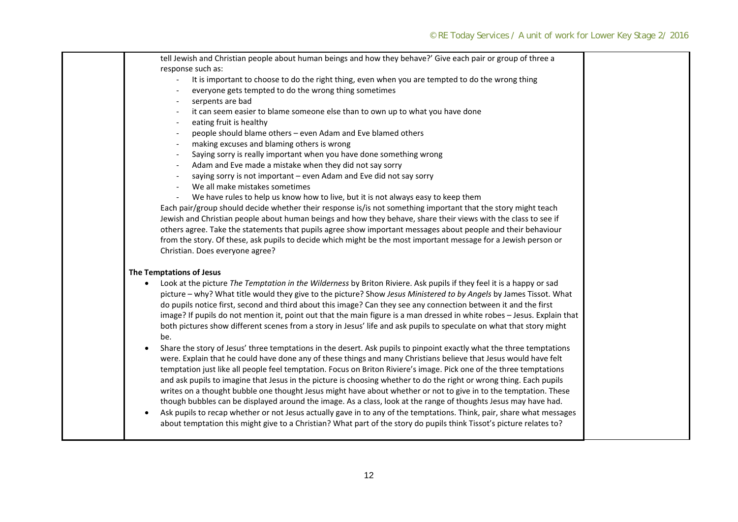| tell Jewish and Christian people about human beings and how they behave?' Give each pair or group of three a                       |  |
|------------------------------------------------------------------------------------------------------------------------------------|--|
| response such as:                                                                                                                  |  |
| It is important to choose to do the right thing, even when you are tempted to do the wrong thing<br>$\overline{\phantom{a}}$       |  |
| everyone gets tempted to do the wrong thing sometimes                                                                              |  |
| serpents are bad                                                                                                                   |  |
| it can seem easier to blame someone else than to own up to what you have done                                                      |  |
| eating fruit is healthy                                                                                                            |  |
| people should blame others - even Adam and Eve blamed others                                                                       |  |
| making excuses and blaming others is wrong<br>$\overline{\phantom{a}}$                                                             |  |
| Saying sorry is really important when you have done something wrong<br>$\overline{\phantom{a}}$                                    |  |
| Adam and Eve made a mistake when they did not say sorry<br>$\blacksquare$                                                          |  |
| saying sorry is not important - even Adam and Eve did not say sorry<br>$\blacksquare$                                              |  |
| We all make mistakes sometimes                                                                                                     |  |
| We have rules to help us know how to live, but it is not always easy to keep them<br>$\overline{\phantom{a}}$                      |  |
| Each pair/group should decide whether their response is/is not something important that the story might teach                      |  |
| Jewish and Christian people about human beings and how they behave, share their views with the class to see if                     |  |
| others agree. Take the statements that pupils agree show important messages about people and their behaviour                       |  |
| from the story. Of these, ask pupils to decide which might be the most important message for a Jewish person or                    |  |
| Christian. Does everyone agree?                                                                                                    |  |
|                                                                                                                                    |  |
| The Temptations of Jesus                                                                                                           |  |
| Look at the picture The Temptation in the Wilderness by Briton Riviere. Ask pupils if they feel it is a happy or sad<br>$\bullet$  |  |
| picture - why? What title would they give to the picture? Show Jesus Ministered to by Angels by James Tissot. What                 |  |
| do pupils notice first, second and third about this image? Can they see any connection between it and the first                    |  |
| image? If pupils do not mention it, point out that the main figure is a man dressed in white robes - Jesus. Explain that           |  |
| both pictures show different scenes from a story in Jesus' life and ask pupils to speculate on what that story might               |  |
| be.                                                                                                                                |  |
| Share the story of Jesus' three temptations in the desert. Ask pupils to pinpoint exactly what the three temptations               |  |
| were. Explain that he could have done any of these things and many Christians believe that Jesus would have felt                   |  |
| temptation just like all people feel temptation. Focus on Briton Riviere's image. Pick one of the three temptations                |  |
| and ask pupils to imagine that Jesus in the picture is choosing whether to do the right or wrong thing. Each pupils                |  |
| writes on a thought bubble one thought Jesus might have about whether or not to give in to the temptation. These                   |  |
| though bubbles can be displayed around the image. As a class, look at the range of thoughts Jesus may have had.                    |  |
| Ask pupils to recap whether or not Jesus actually gave in to any of the temptations. Think, pair, share what messages<br>$\bullet$ |  |
| about temptation this might give to a Christian? What part of the story do pupils think Tissot's picture relates to?               |  |
|                                                                                                                                    |  |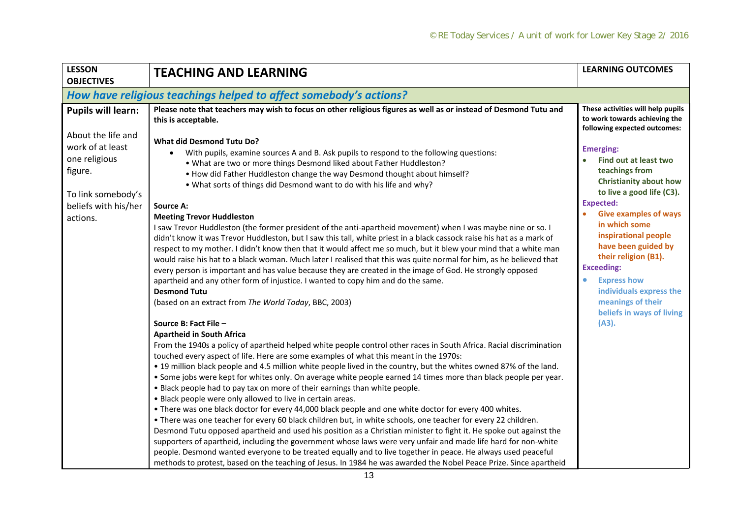| <b>LESSON</b><br><b>OBJECTIVES</b>                                                                                                                        | <b>TEACHING AND LEARNING</b>                                                                                                                                                                                                                                                                                                                                                                                                                                                                                                                                                                                                                                                                                                                                                                                                                                                                                                                                                                                                                                                                                                                                                                                                                                                                                                                                                                                                                                                                                                                                                                                                                                                                                                                                                                                                                                                                                                                                                                                                                                                                                                                                                                                                                                                                                                                                                                                                                                                                                                                                                                                                                                                                              | <b>LEARNING OUTCOMES</b>                                                                                                                                                                                                                                                                                                                                                                                                                                                                                                  |  |  |  |
|-----------------------------------------------------------------------------------------------------------------------------------------------------------|-----------------------------------------------------------------------------------------------------------------------------------------------------------------------------------------------------------------------------------------------------------------------------------------------------------------------------------------------------------------------------------------------------------------------------------------------------------------------------------------------------------------------------------------------------------------------------------------------------------------------------------------------------------------------------------------------------------------------------------------------------------------------------------------------------------------------------------------------------------------------------------------------------------------------------------------------------------------------------------------------------------------------------------------------------------------------------------------------------------------------------------------------------------------------------------------------------------------------------------------------------------------------------------------------------------------------------------------------------------------------------------------------------------------------------------------------------------------------------------------------------------------------------------------------------------------------------------------------------------------------------------------------------------------------------------------------------------------------------------------------------------------------------------------------------------------------------------------------------------------------------------------------------------------------------------------------------------------------------------------------------------------------------------------------------------------------------------------------------------------------------------------------------------------------------------------------------------------------------------------------------------------------------------------------------------------------------------------------------------------------------------------------------------------------------------------------------------------------------------------------------------------------------------------------------------------------------------------------------------------------------------------------------------------------------------------------------------|---------------------------------------------------------------------------------------------------------------------------------------------------------------------------------------------------------------------------------------------------------------------------------------------------------------------------------------------------------------------------------------------------------------------------------------------------------------------------------------------------------------------------|--|--|--|
|                                                                                                                                                           | How have religious teachings helped to affect somebody's actions?                                                                                                                                                                                                                                                                                                                                                                                                                                                                                                                                                                                                                                                                                                                                                                                                                                                                                                                                                                                                                                                                                                                                                                                                                                                                                                                                                                                                                                                                                                                                                                                                                                                                                                                                                                                                                                                                                                                                                                                                                                                                                                                                                                                                                                                                                                                                                                                                                                                                                                                                                                                                                                         |                                                                                                                                                                                                                                                                                                                                                                                                                                                                                                                           |  |  |  |
| <b>Pupils will learn:</b><br>About the life and<br>work of at least<br>one religious<br>figure.<br>To link somebody's<br>beliefs with his/her<br>actions. | Please note that teachers may wish to focus on other religious figures as well as or instead of Desmond Tutu and<br>this is acceptable.<br><b>What did Desmond Tutu Do?</b><br>With pupils, examine sources A and B. Ask pupils to respond to the following questions:<br>. What are two or more things Desmond liked about Father Huddleston?<br>. How did Father Huddleston change the way Desmond thought about himself?<br>. What sorts of things did Desmond want to do with his life and why?<br><b>Source A:</b><br><b>Meeting Trevor Huddleston</b><br>I saw Trevor Huddleston (the former president of the anti-apartheid movement) when I was maybe nine or so. I<br>didn't know it was Trevor Huddleston, but I saw this tall, white priest in a black cassock raise his hat as a mark of<br>respect to my mother. I didn't know then that it would affect me so much, but it blew your mind that a white man<br>would raise his hat to a black woman. Much later I realised that this was quite normal for him, as he believed that<br>every person is important and has value because they are created in the image of God. He strongly opposed<br>apartheid and any other form of injustice. I wanted to copy him and do the same.<br><b>Desmond Tutu</b><br>(based on an extract from The World Today, BBC, 2003)<br>Source B: Fact File -<br><b>Apartheid in South Africa</b><br>From the 1940s a policy of apartheid helped white people control other races in South Africa. Racial discrimination<br>touched every aspect of life. Here are some examples of what this meant in the 1970s:<br>• 19 million black people and 4.5 million white people lived in the country, but the whites owned 87% of the land.<br>. Some jobs were kept for whites only. On average white people earned 14 times more than black people per year.<br>. Black people had to pay tax on more of their earnings than white people.<br>. Black people were only allowed to live in certain areas.<br>. There was one black doctor for every 44,000 black people and one white doctor for every 400 whites.<br>. There was one teacher for every 60 black children but, in white schools, one teacher for every 22 children.<br>Desmond Tutu opposed apartheid and used his position as a Christian minister to fight it. He spoke out against the<br>supporters of apartheid, including the government whose laws were very unfair and made life hard for non-white<br>people. Desmond wanted everyone to be treated equally and to live together in peace. He always used peaceful<br>methods to protest, based on the teaching of Jesus. In 1984 he was awarded the Nobel Peace Prize. Since apartheid | These activities will help pupils<br>to work towards achieving the<br>following expected outcomes:<br><b>Emerging:</b><br>Find out at least two<br>teachings from<br><b>Christianity about how</b><br>to live a good life (C3).<br><b>Expected:</b><br><b>Give examples of ways</b><br>in which some<br>inspirational people<br>have been guided by<br>their religion (B1).<br><b>Exceeding:</b><br><b>Express how</b><br>$\bullet$<br>individuals express the<br>meanings of their<br>beliefs in ways of living<br>(A3). |  |  |  |